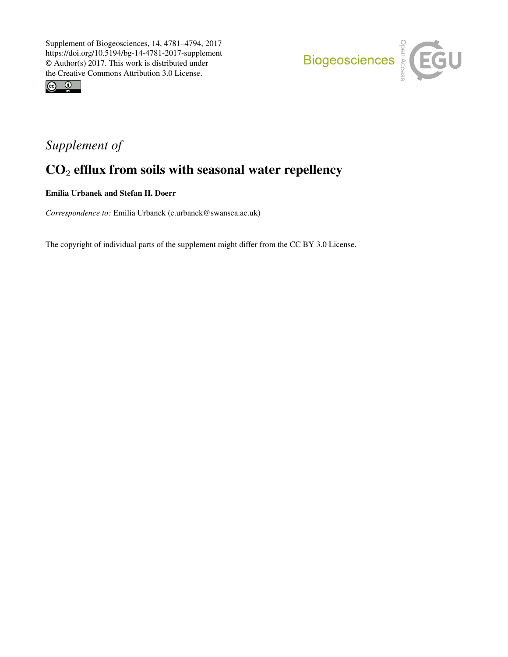



## *Supplement of*

## CO<sup>2</sup> efflux from soils with seasonal water repellency

Emilia Urbanek and Stefan H. Doerr

*Correspondence to:* Emilia Urbanek (e.urbanek@swansea.ac.uk)

The copyright of individual parts of the supplement might differ from the CC BY 3.0 License.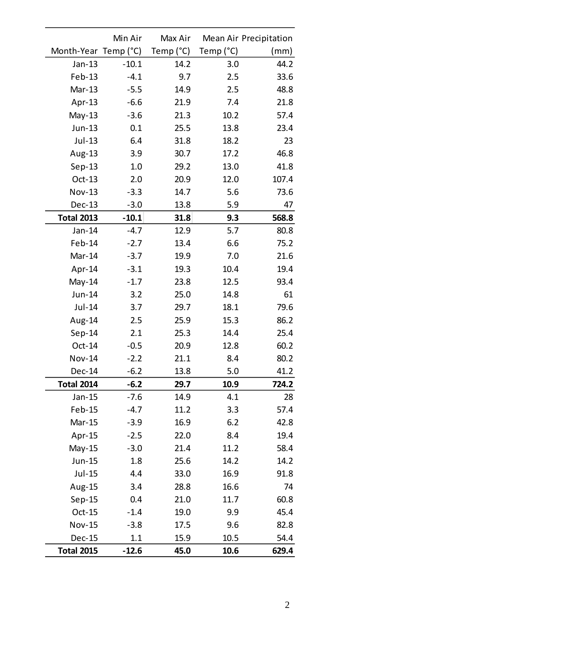|                      | Min Air | Max Air   |           | Mean Air Precipitation |
|----------------------|---------|-----------|-----------|------------------------|
| Month-Year Temp (°C) |         | Temp (°C) | Temp (°C) | (mm)                   |
| Jan-13               | $-10.1$ | 14.2      | 3.0       | 44.2                   |
| Feb-13               | $-4.1$  | 9.7       | 2.5       | 33.6                   |
| Mar-13               | $-5.5$  | 14.9      | 2.5       | 48.8                   |
| Apr-13               | $-6.6$  | 21.9      | 7.4       | 21.8                   |
| $May-13$             | $-3.6$  | 21.3      | 10.2      | 57.4                   |
| Jun-13               | 0.1     | 25.5      | 13.8      | 23.4                   |
| Jul-13               | 6.4     | 31.8      | 18.2      | 23                     |
| Aug-13               | 3.9     | 30.7      | 17.2      | 46.8                   |
| $Sep-13$             | 1.0     | 29.2      | 13.0      | 41.8                   |
| $Oct-13$             | 2.0     | 20.9      | 12.0      | 107.4                  |
| Nov-13               | $-3.3$  | 14.7      | 5.6       | 73.6                   |
| <b>Dec-13</b>        | $-3.0$  | 13.8      | 5.9       | 47                     |
| <b>Total 2013</b>    | $-10.1$ | 31.8      | 9.3       | 568.8                  |
| Jan-14               | $-4.7$  | 12.9      | 5.7       | 80.8                   |
| Feb-14               | $-2.7$  | 13.4      | 6.6       | 75.2                   |
| Mar-14               | $-3.7$  | 19.9      | 7.0       | 21.6                   |
| Apr-14               | $-3.1$  | 19.3      | 10.4      | 19.4                   |
| $May-14$             | $-1.7$  | 23.8      | 12.5      | 93.4                   |
| Jun-14               | 3.2     | 25.0      | 14.8      | 61                     |
| Jul-14               | 3.7     | 29.7      | 18.1      | 79.6                   |
| Aug-14               | 2.5     | 25.9      | 15.3      | 86.2                   |
| $Sep-14$             | 2.1     | 25.3      | 14.4      | 25.4                   |
| Oct-14               | $-0.5$  | 20.9      | 12.8      | 60.2                   |
| Nov-14               | $-2.2$  | 21.1      | 8.4       | 80.2                   |
| Dec-14               | $-6.2$  | 13.8      | 5.0       | 41.2                   |
| <b>Total 2014</b>    | $-6.2$  | 29.7      | 10.9      | 724.2                  |
| Jan-15               | $-7.6$  | 14.9      | 4.1       | 28                     |
| Feb-15               | $-4.7$  | 11.2      | 3.3       | 57.4                   |
| Mar-15               | $-3.9$  | 16.9      | 6.2       | 42.8                   |
| Apr-15               | $-2.5$  | 22.0      | 8.4       | 19.4                   |
| May-15               | $-3.0$  | 21.4      | 11.2      | 58.4                   |
| Jun-15               | 1.8     | 25.6      | 14.2      | 14.2                   |
| Jul-15               | 4.4     | 33.0      | 16.9      | 91.8                   |
| Aug-15               | 3.4     | 28.8      | 16.6      | 74                     |
| $Sep-15$             | 0.4     | 21.0      | 11.7      | 60.8                   |
| $Oct-15$             | $-1.4$  | 19.0      | 9.9       | 45.4                   |
| Nov-15               | $-3.8$  | 17.5      | 9.6       | 82.8                   |
| Dec-15               | $1.1\,$ | 15.9      | 10.5      | 54.4                   |
| <b>Total 2015</b>    | $-12.6$ | 45.0      | 10.6      | 629.4                  |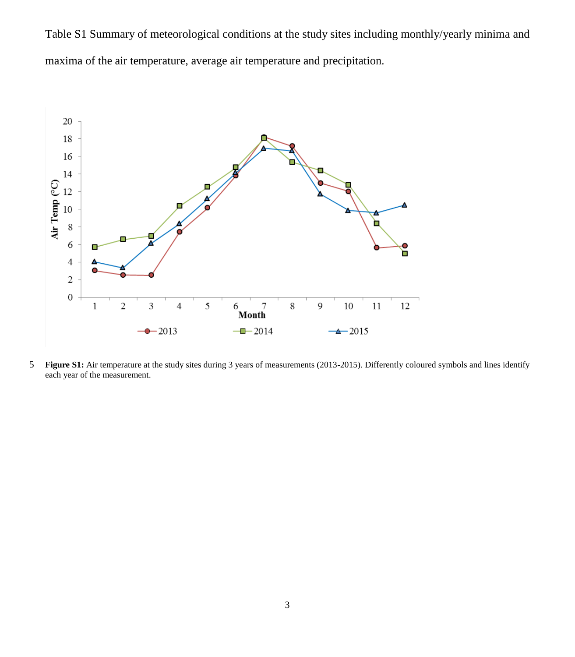Table S1 Summary of meteorological conditions at the study sites including monthly/yearly minima and maxima of the air temperature, average air temperature and precipitation.



5 **Figure S1:** Air temperature at the study sites during 3 years of measurements (2013-2015). Differently coloured symbols and lines identify each year of the measurement.